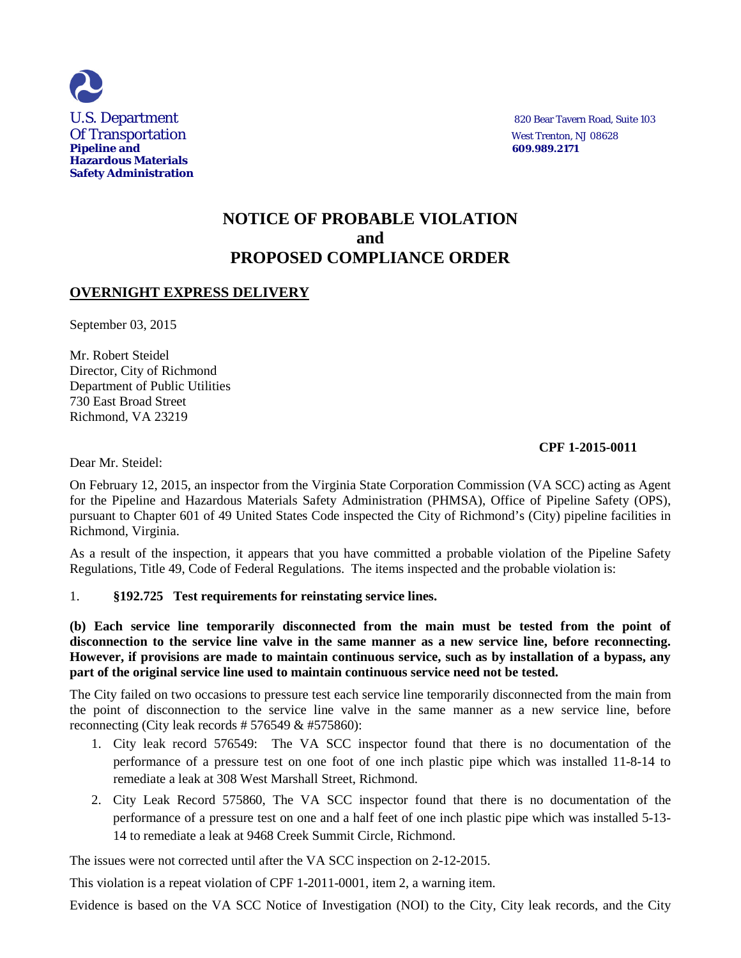

U.S. Department 820 Bear Tavern Road, Suite 103

## **NOTICE OF PROBABLE VIOLATION and PROPOSED COMPLIANCE ORDER**

## **OVERNIGHT EXPRESS DELIVERY**

September 03, 2015

Mr. Robert Steidel Director, City of Richmond Department of Public Utilities 730 East Broad Street Richmond, VA 23219

### **CPF 1-2015-0011**

Dear Mr. Steidel:

On February 12, 2015, an inspector from the Virginia State Corporation Commission (VA SCC) acting as Agent for the Pipeline and Hazardous Materials Safety Administration (PHMSA), Office of Pipeline Safety (OPS), pursuant to Chapter 601 of 49 United States Code inspected the City of Richmond's (City) pipeline facilities in Richmond, Virginia.

As a result of the inspection, it appears that you have committed a probable violation of the Pipeline Safety Regulations, Title 49, Code of Federal Regulations. The items inspected and the probable violation is:

#### 1. **§192.725 Test requirements for reinstating service lines.**

**(b) Each service line temporarily disconnected from the main must be tested from the point of disconnection to the service line valve in the same manner as a new service line, before reconnecting. However, if provisions are made to maintain continuous service, such as by installation of a bypass, any part of the original service line used to maintain continuous service need not be tested.**

The City failed on two occasions to pressure test each service line temporarily disconnected from the main from the point of disconnection to the service line valve in the same manner as a new service line, before reconnecting (City leak records # 576549 & #575860):

- 1. City leak record 576549: The VA SCC inspector found that there is no documentation of the performance of a pressure test on one foot of one inch plastic pipe which was installed 11-8-14 to remediate a leak at 308 West Marshall Street, Richmond.
- 2. City Leak Record 575860, The VA SCC inspector found that there is no documentation of the performance of a pressure test on one and a half feet of one inch plastic pipe which was installed 5-13- 14 to remediate a leak at 9468 Creek Summit Circle, Richmond.

The issues were not corrected until after the VA SCC inspection on 2-12-2015.

This violation is a repeat violation of CPF 1-2011-0001, item 2, a warning item.

Evidence is based on the VA SCC Notice of Investigation (NOI) to the City, City leak records, and the City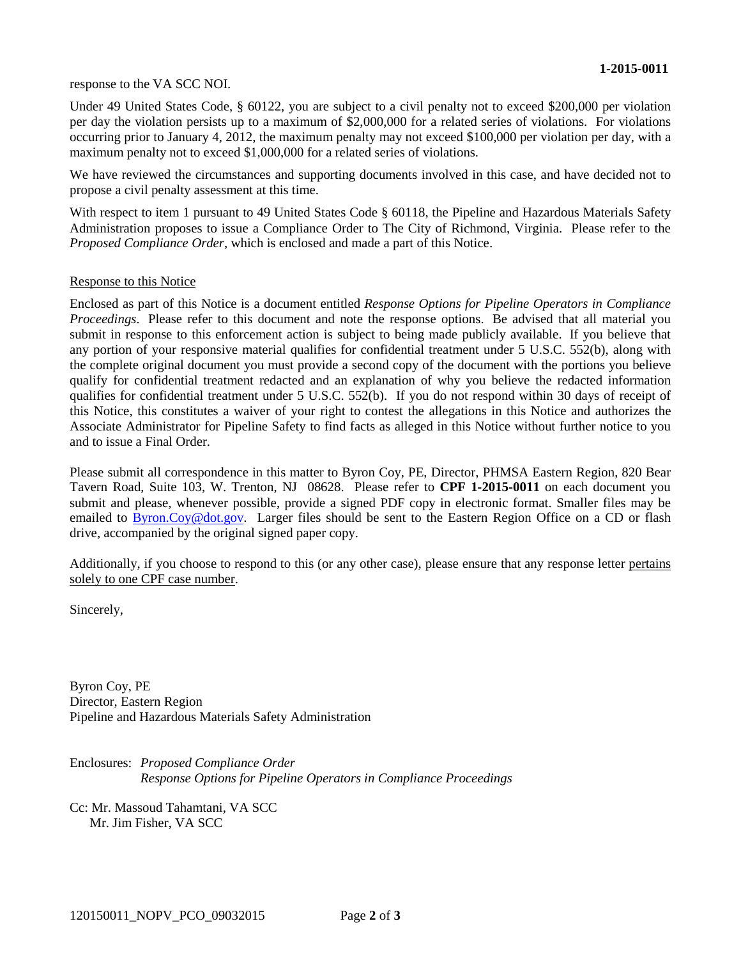#### response to the VA SCC NOI.

Under 49 United States Code, § 60122, you are subject to a civil penalty not to exceed \$200,000 per violation per day the violation persists up to a maximum of \$2,000,000 for a related series of violations. For violations occurring prior to January 4, 2012, the maximum penalty may not exceed \$100,000 per violation per day, with a maximum penalty not to exceed \$1,000,000 for a related series of violations.

We have reviewed the circumstances and supporting documents involved in this case, and have decided not to propose a civil penalty assessment at this time.

With respect to item 1 pursuant to 49 United States Code § 60118, the Pipeline and Hazardous Materials Safety Administration proposes to issue a Compliance Order to The City of Richmond, Virginia. Please refer to the *Proposed Compliance Order*, which is enclosed and made a part of this Notice.

#### Response to this Notice

Enclosed as part of this Notice is a document entitled *Response Options for Pipeline Operators in Compliance Proceedings*. Please refer to this document and note the response options. Be advised that all material you submit in response to this enforcement action is subject to being made publicly available. If you believe that any portion of your responsive material qualifies for confidential treatment under 5 U.S.C. 552(b), along with the complete original document you must provide a second copy of the document with the portions you believe qualify for confidential treatment redacted and an explanation of why you believe the redacted information qualifies for confidential treatment under 5 U.S.C. 552(b). If you do not respond within 30 days of receipt of this Notice, this constitutes a waiver of your right to contest the allegations in this Notice and authorizes the Associate Administrator for Pipeline Safety to find facts as alleged in this Notice without further notice to you and to issue a Final Order.

Please submit all correspondence in this matter to Byron Coy, PE, Director, PHMSA Eastern Region, 820 Bear Tavern Road, Suite 103, W. Trenton, NJ 08628. Please refer to **CPF 1-2015-0011** on each document you submit and please, whenever possible, provide a signed PDF copy in electronic format. Smaller files may be emailed to **Byron.Coy@dot.gov.** Larger files should be sent to the Eastern Region Office on a CD or flash drive, accompanied by the original signed paper copy.

Additionally, if you choose to respond to this (or any other case), please ensure that any response letter pertains solely to one CPF case number.

Sincerely,

Byron Coy, PE Director, Eastern Region Pipeline and Hazardous Materials Safety Administration

Enclosures: *Proposed Compliance Order Response Options for Pipeline Operators in Compliance Proceedings*

Cc: Mr. Massoud Tahamtani, VA SCC Mr. Jim Fisher, VA SCC